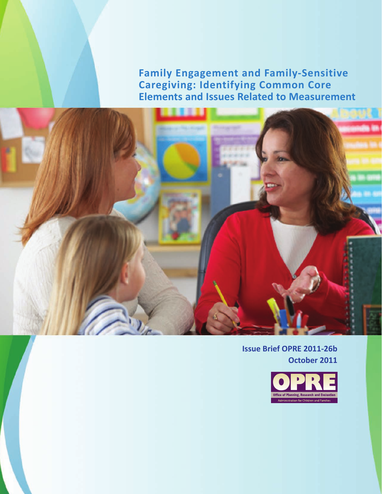**Family Engagement and Family-Sensitive Caregiving: Identifying Common Core Elements and Issues Related to Measurement** 



**Issue Brief OPRE 2011-26b October 2011** 

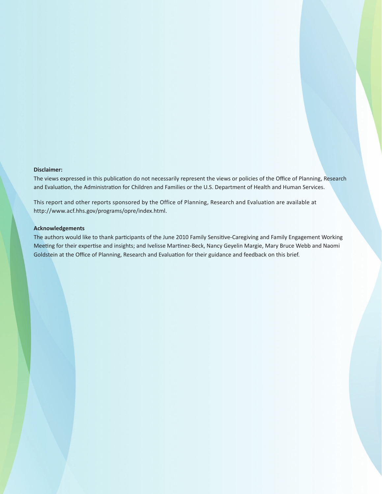#### **Disclaimer:**

The views expressed in this publication do not necessarily represent the views or policies of the Office of Planning, Research and Evaluation, the Administration for Children and Families or the U.S. Department of Health and Human Services.

This report and other reports sponsored by the Office of Planning, Research and Evaluation are available at http://www.acf.hhs.gov/programs/opre/index.html.

#### **Acknowledgements**

The authors would like to thank participants of the June 2010 Family Sensitive-Caregiving and Family Engagement Working Meeting for their expertise and insights; and Ivelisse Martinez-Beck, Nancy Geyelin Margie, Mary Bruce Webb and Naomi Goldstein at the Office of Planning, Research and Evaluation for their guidance and feedback on this brief.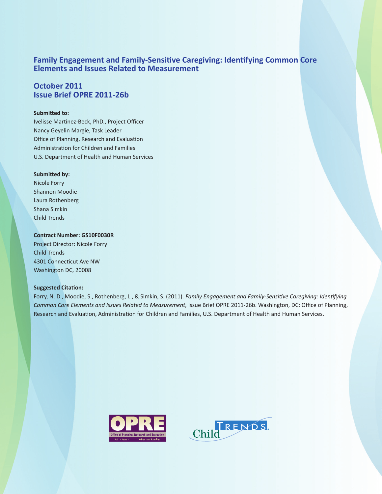## **Family Engagement and Family-Sensitive Caregiving: Identifying Common Core Elements and Issues Related to Measurement**

# **October 2011 Issue Brief OPRE 2011-26b**

### **Submitted to:**

Ivelisse Martinez-Beck, PhD., Project Officer Nancy Geyelin Margie, Task Leader Office of Planning, Research and Evaluation Administration for Children and Families U.S. Department of Health and Human Services

#### **Submitted by:**

Nicole Forry Shannon Moodie Laura Rothenberg Shana Simkin Child Trends

#### **Contract Number: GS10F0030R**

Project Director: Nicole Forry Child Trends 4301 Connecticut Ave NW Washington DC, 20008

### **Suggested Citation:**

Forry, N. D., Moodie, S., Rothenberg, L., & Simkin, S. (2011). *Family Engagement and Family-Sensitive Caregiving: Identifying Common Core Elements and Issues Related to Measurement,* Issue Brief OPRE 2011-26b. Washington, DC: Office of Planning, Research and Evaluation, Administration for Children and Families, U.S. Department of Health and Human Services.



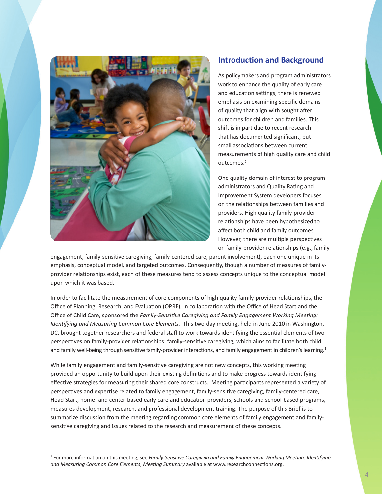

# **Introduction and Background**

outcomes.<sup>2</sup> As policymakers and program administrators work to enhance the quality of early care and education settings, there is renewed emphasis on examining specific domains of quality that align with sought after outcomes for children and families. This shift is in part due to recent research that has documented significant, but small associations between current measurements of high quality care and child

One quality domain of interest to program administrators and Quality Rating and Improvement System developers focuses on the relationships between families and providers. High quality family-provider relationships have been hypothesized to affect both child and family outcomes. However, there are multiple perspectives on family-provider relationships (e.g., family

engagement, family-sensitive caregiving, family-centered care, parent involvement), each one unique in its emphasis, conceptual model, and targeted outcomes. Consequently, though a number of measures of familyprovider relationships exist, each of these measures tend to assess concepts unique to the conceptual model upon which it was based.

and family well-being through sensitive family-provider interactions, and family engagement in children's learning.<sup>1</sup> In order to facilitate the measurement of core components of high quality family-provider relationships, the Office of Planning, Research, and Evaluation (OPRE), in collaboration with the Office of Head Start and the Office of Child Care, sponsored the *Family-Sensitive Caregiving and Family Engagement Working Meeting: Identifying and Measuring Common Core Elements*. This two-day meeting, held in June 2010 in Washington, DC, brought together researchers and federal staff to work towards identifying the essential elements of two perspectives on family-provider relationships: family-sensitive caregiving, which aims to facilitate both child

While family engagement and family-sensitive caregiving are not new concepts, this working meeting provided an opportunity to build upon their existing definitions and to make progress towards identifying effective strategies for measuring their shared core constructs. Meeting participants represented a variety of perspectives and expertise related to family engagement, family-sensitive caregiving, family-centered care, Head Start, home- and center-based early care and education providers, schools and school-based programs, measures development, research, and professional development training. The purpose of this Brief is to summarize discussion from the meeting regarding common core elements of family engagement and familysensitive caregiving and issues related to the research and measurement of these concepts.

 1 For more information on this meeting, see *Family-Sensitive Caregiving and Family Engagement Working Meeting: Identifying and Measuring Common Core Elements*, *Meeting Summary* available at www.researchconnections.org.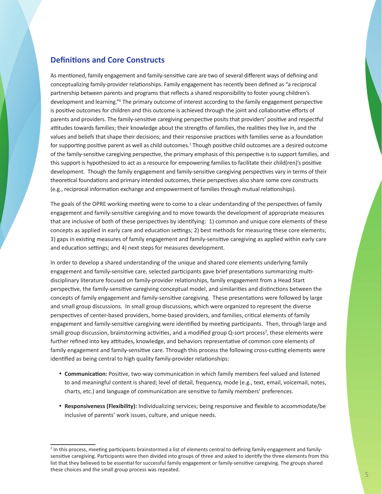# **Definitions and Core Constructs**

As mentioned, family engagement and family-sensitive care are two of several different ways of defining and conceptualizing family-provider relationships. Family engagement has recently been defined as "a reciprocal partnership between parents and programs that reflects a shared responsibility to foster young children's development and learning."<sup>6</sup> The primary outcome of interest according to the family engagement perspective is positive outcomes for children and this outcome is achieved through the joint and collaborative efforts of parents and providers. The family-sensitive caregiving perspective posits that providers' positive and respectful attitudes towards families; their knowledge about the strengths of families, the realities they live in, and the values and beliefs that shape their decisions; and their responsive practices with families serve as a foundation for supporting positive parent as well as child outcomes.<sup>1</sup> Though positive child outcomes are a desired outcome of the family-sensitive caregiving perspective, the primary emphasis of this perspective is to support families, and this support is hypothesized to act as a resource for empowering families to facilitate their child(ren)'s positive development. Though the family engagement and family-sensitive caregiving perspectives vary in terms of their theoretical foundations and primary intended outcomes, these perspectives also share some core constructs (e.g., reciprocal information exchange and empowerment of families through mutual relationships).

The goals of the OPRE working meeting were to come to a clear understanding of the perspectives of family engagement and family-sensitive caregiving and to move towards the development of appropriate measures that are inclusive of both of these perspectives by identifying: 1) common and unique core elements of these concepts as applied in early care and education settings; 2) best methods for measuring these core elements; 3) gaps in existing measures of family engagement and family-sensitive caregiving as applied within early care and education settings; and 4) next steps for measures development.

In order to develop a shared understanding of the unique and shared core elements underlying family engagement and family-sensitive care, selected participants gave brief presentations summarizing multidisciplinary literature focused on family-provider relationships, family engagement from a Head Start perspective, the family-sensitive caregiving conceptual model, and similarities and distinctions between the concepts of family engagement and family-sensitive caregiving. These presentations were followed by large and small group discussions. In small group discussions, which were organized to represent the diverse perspectives of center-based providers, home-based providers, and families, critical elements of family engagement and family-sensitive caregiving were identified by meeting participants. Then, through large and small group discussion, brainstorming activities, and a modified group Q-sort process<sup>2</sup>, these elements were further refined into key attitudes, knowledge, and behaviors representative of common core elements of family engagement and family-sensitive care. Through this process the following cross-cutting elements were identified as being central to high quality family-provider relationships:

- • **Communication:** Positive, two-way communication in which family members feel valued and listened to and meaningful content is shared; level of detail, frequency, mode (e.g., text, email, voicemail, notes, charts, etc.) and language of communication are sensitive to family members' preferences.
- • **Responsiveness (Flexibility):** Individualizing services; being responsive and flexible to accommodate/be inclusive of parents' work issues, culture, and unique needs.

<sup>&</sup>lt;sup>2</sup> In this process, meeting participants brainstormed a list of elements central to defining family engagement and familysensitive caregiving. Participants were then divided into groups of three and asked to identify the three elements from this list that they believed to be essential for successful family engagement or family-sensitive caregiving. The groups shared these choices and the small group process was repeated.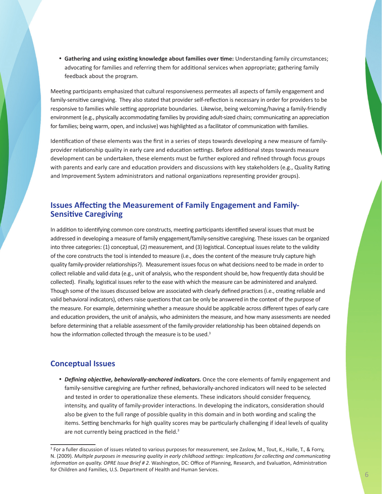feedback about the program. • **Gathering and using existing knowledge about families over time:** Understanding family circumstances; advocating for families and referring them for additional services when appropriate; gathering family

Meeting participants emphasized that cultural responsiveness permeates all aspects of family engagement and family-sensitive caregiving. They also stated that provider self-reflection is necessary in order for providers to be responsive to families while setting appropriate boundaries. Likewise, being welcoming/having a family-friendly environment (e.g., physically accommodating families by providing adult-sized chairs; communicating an appreciation for families; being warm, open, and inclusive) was highlighted as a facilitator of communication with families.

Identification of these elements was the first in a series of steps towards developing a new measure of familyprovider relationship quality in early care and education settings. Before additional steps towards measure development can be undertaken, these elements must be further explored and refined through focus groups with parents and early care and education providers and discussions with key stakeholders (e.g., Quality Rating and Improvement System administrators and national organizations representing provider groups).

## **Issues Affecting the Measurement of Family Engagement and Family-Sensitive Caregiving**

In addition to identifying common core constructs, meeting participants identified several issues that must be addressed in developing a measure of family engagement/family-sensitive caregiving. These issues can be organized into three categories: (1) conceptual, (2) measurement, and (3) logistical. Conceptual issues relate to the validity of the core constructs the tool is intended to measure (i.e., does the content of the measure truly capture high quality family-provider relationships?). Measurement issues focus on what decisions need to be made in order to collect reliable and valid data (e.g., unit of analysis, who the respondent should be, how frequently data should be collected). Finally, logistical issues refer to the ease with which the measure can be administered and analyzed. Though some of the issues discussed below are associated with clearly defined practices (i.e., creating reliable and valid behavioral indicators), others raise questions that can be only be answered in the context of the purpose of the measure. For example, determining whether a measure should be applicable across different types of early care and education providers, the unit of analysis, who administers the measure, and how many assessments are needed before determining that a reliable assessment of the family-provider relationship has been obtained depends on how the information collected through the measure is to be used.<sup>3</sup>

### **Conceptual Issues**

• *Defining objective, behaviorally-anchored indicators.* Once the core elements of family engagement and family-sensitive caregiving are further refined, behaviorally-anchored indicators will need to be selected and tested in order to operationalize these elements. These indicators should consider frequency, intensity, and quality of family-provider interactions. In developing the indicators, consideration should also be given to the full range of possible quality in this domain and in both wording and scaling the items. Setting benchmarks for high quality scores may be particularly challenging if ideal levels of quality are not currently being practiced in the field.<sup>3</sup>

<sup>&</sup>lt;sup>3</sup> For a fuller discussion of issues related to various purposes for measurement, see Zaslow, M., Tout, K., Halle, T., & Forry, N. (2009). *Multiple purposes in measuring quality in early childhood settings: Implications for collecting and communicating information on quality. OPRE Issue Brief # 2.* Washington, DC: Office of Planning, Research, and Evaluation, Administration for Children and Families, U.S. Department of Health and Human Services.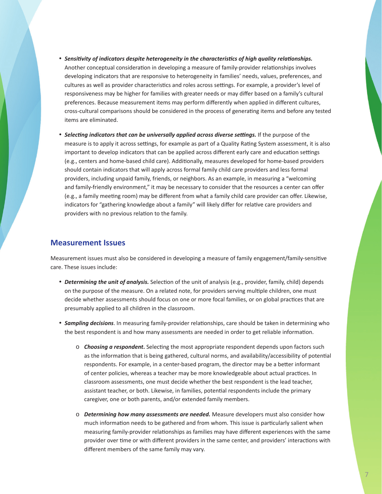- • *Sensitivity of indicators despite heterogeneity in the characteristics of high quality relationships.*  Another conceptual consideration in developing a measure of family-provider relationships involves developing indicators that are responsive to heterogeneity in families' needs, values, preferences, and cultures as well as provider characteristics and roles across settings. For example, a provider's level of responsiveness may be higher for families with greater needs or may differ based on a family's cultural preferences. Because measurement items may perform differently when applied in different cultures, cross-cultural comparisons should be considered in the process of generating items and before any tested items are eliminated.
- **Selecting indicators that can be universally applied across diverse settings.** If the purpose of the measure is to apply it across settings, for example as part of a Quality Rating System assessment, it is also important to develop indicators that can be applied across different early care and education settings (e.g., centers and home-based child care). Additionally, measures developed for home-based providers should contain indicators that will apply across formal family child care providers and less formal providers, including unpaid family, friends, or neighbors. As an example, in measuring a "welcoming and family-friendly environment," it may be necessary to consider that the resources a center can offer (e.g., a family meeting room) may be different from what a family child care provider can offer. Likewise, indicators for "gathering knowledge about a family" will likely differ for relative care providers and providers with no previous relation to the family.

### **Measurement Issues**

Measurement issues must also be considered in developing a measure of family engagement/family-sensitive care. These issues include:

- • *Determining the unit of analysis.* Selection of the unit of analysis (e.g., provider, family, child) depends on the purpose of the measure. On a related note, for providers serving multiple children, one must decide whether assessments should focus on one or more focal families, or on global practices that are presumably applied to all children in the classroom.
- • *Sampling decisions*. In measuring family-provider relationships, care should be taken in determining who the best respondent is and how many assessments are needed in order to get reliable information.
	- o *Choosing a respondent***.** Selecting the most appropriate respondent depends upon factors such as the information that is being gathered, cultural norms, and availability/accessibility of potential respondents. For example, in a center-based program, the director may be a better informant of center policies, whereas a teacher may be more knowledgeable about actual practices. In classroom assessments, one must decide whether the best respondent is the lead teacher, assistant teacher, or both. Likewise, in families, potential respondents include the primary caregiver, one or both parents, and/or extended family members.
	- o *Determining how many assessments are needed.* Measure developers must also consider how much information needs to be gathered and from whom. This issue is particularly salient when measuring family-provider relationships as families may have different experiences with the same provider over time or with different providers in the same center, and providers' interactions with different members of the same family may vary.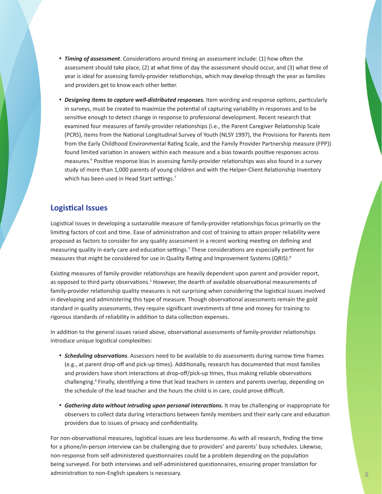- • *Timing of assessment*. Considerations around timing an assessment include: (1) how often the assessment should take place, (2) at what time of day the assessment should occur, and (3) what time of year is ideal for assessing family-provider relationships, which may develop through the year as families and providers get to know each other better.
- • *Designing items to capture well-distributed responses.* Item wording and response options, particularly in surveys, must be created to maximize the potential of capturing variability in responses and to be sensitive enough to detect change in response to professional development. Recent research that examined four measures of family-provider relationships (i.e., the Parent Caregiver Relationship Scale (PCRS), items from the National Longitudinal Survey of Youth (NLSY 1997), the Provisions for Parents item from the Early Childhood Environmental Rating Scale, and the Family Provider Partnership measure (FPP)) found limited variation in answers within each measure and a bias towards positive responses across measures.<sup>9</sup> Positive response bias in assessing family-provider relationships was also found in a survey study of more than 1,000 parents of young children and with the Helper-Client Relationship Inventory which has been used in Head Start settings.<sup>7</sup>

### **Logistical Issues**

Logistical issues in developing a sustainable measure of family-provider relationships focus primarily on the limiting factors of cost and time. Ease of administration and cost of training to attain proper reliability were proposed as factors to consider for any quality assessment in a recent working meeting on defining and measuring quality in early care and education settings.<sup>3</sup> These considerations are especially pertinent for measures that might be considered for use in Quality Rating and Improvement Systems (QRIS). $8$ 

Existing measures of family-provider relationships are heavily dependent upon parent and provider report, as opposed to third party observations.<sup>5</sup> However, the dearth of available observational measurements of family-provider relationship quality measures is not surprising when considering the logistical issues involved in developing and administering this type of measure. Though observational assessments remain the gold standard in quality assessments, they require significant investments of time and money for training to rigorous standards of reliability in addition to data collection expenses.

In addition to the general issues raised above, observational assessments of family-provider relationships introduce unique logistical complexities:

- • *Scheduling observations*. Assessors need to be available to do assessments during narrow time frames (e.g., at parent drop-off and pick-up times). Additionally, research has documented that most families and providers have short interactions at drop-off/pick-up times, thus making reliable observations challenging.<sup>4</sup> Finally, identifying a time that lead teachers in centers and parents overlap, depending on the schedule of the lead teacher and the hours the child is in care, could prove difficult.
- • *Gathering data without intruding upon personal interactions.* It may be challenging or inappropriate for observers to collect data during interactions between family members and their early care and education providers due to issues of privacy and confidentiality.

For non-observational measures, logistical issues are less burdensome. As with all research, finding the time for a phone/in-person interview can be challenging due to providers' and parents' busy schedules. Likewise, non-response from self-administered questionnaires could be a problem depending on the population being surveyed. For both interviews and self-administered questionnaires, ensuring proper translation for administration to non-English speakers is necessary. 8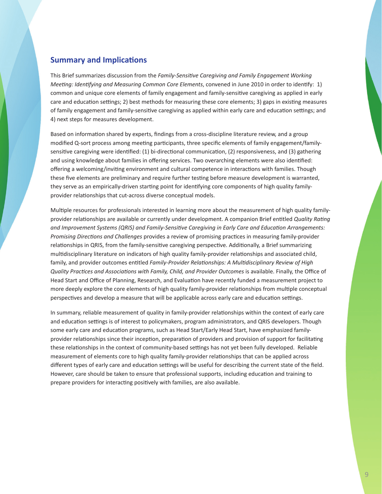## **Summary and Implications**

This Brief summarizes discussion from the *Family-Sensitive Caregiving and Family Engagement Working Meeting: Identifying and Measuring Common Core Elements*, convened in June 2010 in order to identify: 1) common and unique core elements of family engagement and family-sensitive caregiving as applied in early care and education settings; 2) best methods for measuring these core elements; 3) gaps in existing measures of family engagement and family-sensitive caregiving as applied within early care and education settings; and 4) next steps for measures development.

Based on information shared by experts, findings from a cross-discipline literature review, and a group modified Q-sort process among meeting participants, three specific elements of family engagement/familysensitive caregiving were identified: (1) bi-directional communication, (2) responsiveness, and (3) gathering and using knowledge about families in offering services. Two overarching elements were also identified: offering a welcoming/inviting environment and cultural competence in interactions with families. Though these five elements are preliminary and require further testing before measure development is warranted, they serve as an empirically-driven starting point for identifying core components of high quality familyprovider relationships that cut-across diverse conceptual models.

Multiple resources for professionals interested in learning more about the measurement of high quality familyprovider relationships are available or currently under development. A companion Brief entitled *Quality Rating and Improvement Systems (QRIS) and Family-Sensitive Caregiving in Early Care and Education Arrangements: Promising Directions and Challenges* provides a review of promising practices in measuring family-provider relationships in QRIS, from the family-sensitive caregiving perspective. Additionally, a Brief summarizing multidisciplinary literature on indicators of high quality family-provider relationships and associated child, family, and provider outcomes entitled *Family-Provider Relationships: A Multidisciplinary Review of High Quality Practices and Associations with Family, Child, and Provider Outcomes* is available. Finally, the Office of Head Start and Office of Planning, Research, and Evaluation have recently funded a measurement project to more deeply explore the core elements of high quality family-provider relationships from multiple conceptual perspectives and develop a measure that will be applicable across early care and education settings.

In summary, reliable measurement of quality in family-provider relationships within the context of early care and education settings is of interest to policymakers, program administrators, and QRIS developers. Though some early care and education programs, such as Head Start/Early Head Start, have emphasized familyprovider relationships since their inception, preparation of providers and provision of support for facilitating these relationships in the context of community-based settings has not yet been fully developed. Reliable measurement of elements core to high quality family-provider relationships that can be applied across different types of early care and education settings will be useful for describing the current state of the field. However, care should be taken to ensure that professional supports, including education and training to prepare providers for interacting positively with families, are also available.